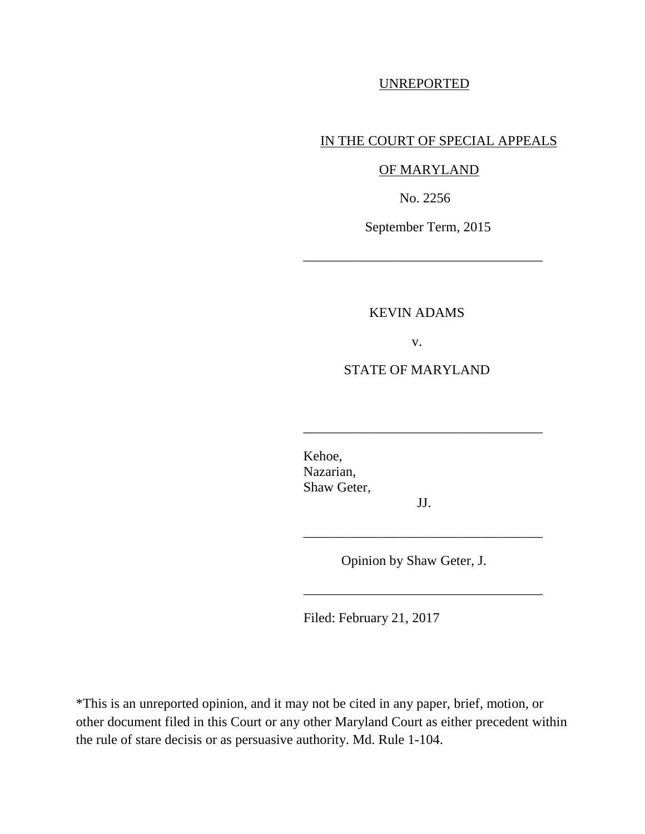## UNREPORTED

## IN THE COURT OF SPECIAL APPEALS

### OF MARYLAND

No. 2256

September Term, 2015

\_\_\_\_\_\_\_\_\_\_\_\_\_\_\_\_\_\_\_\_\_\_\_\_\_\_\_\_\_\_\_\_\_\_\_

### KEVIN ADAMS

v.

#### STATE OF MARYLAND

Kehoe, Nazarian, Shaw Geter,

JJ.

\_\_\_\_\_\_\_\_\_\_\_\_\_\_\_\_\_\_\_\_\_\_\_\_\_\_\_\_\_\_\_\_\_\_\_

\_\_\_\_\_\_\_\_\_\_\_\_\_\_\_\_\_\_\_\_\_\_\_\_\_\_\_\_\_\_\_\_\_\_\_

\_\_\_\_\_\_\_\_\_\_\_\_\_\_\_\_\_\_\_\_\_\_\_\_\_\_\_\_\_\_\_\_\_\_\_

Opinion by Shaw Geter, J.

Filed: February 21, 2017

\*This is an unreported opinion, and it may not be cited in any paper, brief, motion, or other document filed in this Court or any other Maryland Court as either precedent within the rule of stare decisis or as persuasive authority. Md. Rule 1-104.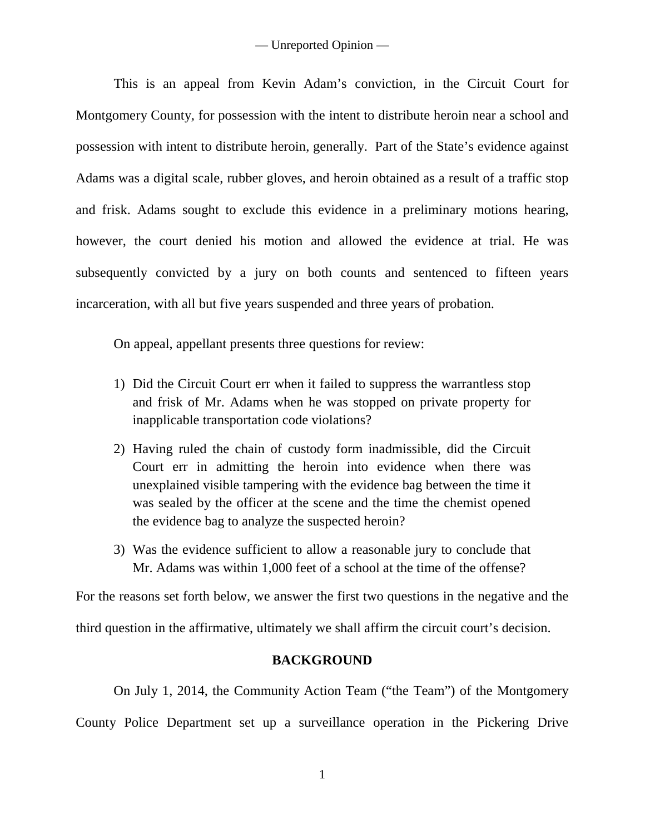This is an appeal from Kevin Adam's conviction, in the Circuit Court for Montgomery County, for possession with the intent to distribute heroin near a school and possession with intent to distribute heroin, generally. Part of the State's evidence against Adams was a digital scale, rubber gloves, and heroin obtained as a result of a traffic stop and frisk. Adams sought to exclude this evidence in a preliminary motions hearing, however, the court denied his motion and allowed the evidence at trial. He was subsequently convicted by a jury on both counts and sentenced to fifteen years incarceration, with all but five years suspended and three years of probation.

On appeal, appellant presents three questions for review:

- 1) Did the Circuit Court err when it failed to suppress the warrantless stop and frisk of Mr. Adams when he was stopped on private property for inapplicable transportation code violations?
- 2) Having ruled the chain of custody form inadmissible, did the Circuit Court err in admitting the heroin into evidence when there was unexplained visible tampering with the evidence bag between the time it was sealed by the officer at the scene and the time the chemist opened the evidence bag to analyze the suspected heroin?
- 3) Was the evidence sufficient to allow a reasonable jury to conclude that Mr. Adams was within 1,000 feet of a school at the time of the offense?

For the reasons set forth below, we answer the first two questions in the negative and the third question in the affirmative, ultimately we shall affirm the circuit court's decision.

# **BACKGROUND**

On July 1, 2014, the Community Action Team ("the Team") of the Montgomery County Police Department set up a surveillance operation in the Pickering Drive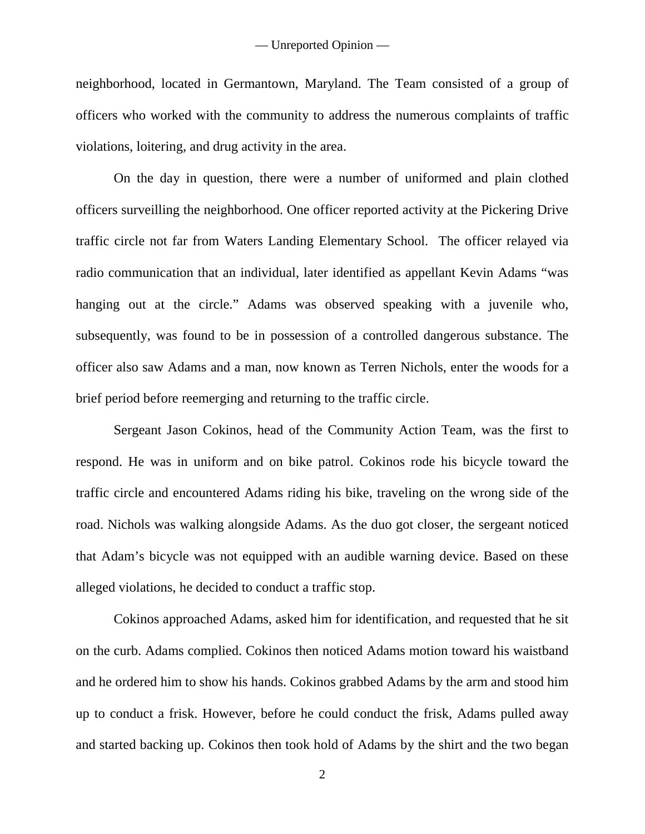neighborhood, located in Germantown, Maryland. The Team consisted of a group of officers who worked with the community to address the numerous complaints of traffic violations, loitering, and drug activity in the area.

On the day in question, there were a number of uniformed and plain clothed officers surveilling the neighborhood. One officer reported activity at the Pickering Drive traffic circle not far from Waters Landing Elementary School. The officer relayed via radio communication that an individual, later identified as appellant Kevin Adams "was hanging out at the circle." Adams was observed speaking with a juvenile who, subsequently, was found to be in possession of a controlled dangerous substance. The officer also saw Adams and a man, now known as Terren Nichols, enter the woods for a brief period before reemerging and returning to the traffic circle.

Sergeant Jason Cokinos, head of the Community Action Team, was the first to respond. He was in uniform and on bike patrol. Cokinos rode his bicycle toward the traffic circle and encountered Adams riding his bike, traveling on the wrong side of the road. Nichols was walking alongside Adams. As the duo got closer, the sergeant noticed that Adam's bicycle was not equipped with an audible warning device. Based on these alleged violations, he decided to conduct a traffic stop.

Cokinos approached Adams, asked him for identification, and requested that he sit on the curb. Adams complied. Cokinos then noticed Adams motion toward his waistband and he ordered him to show his hands. Cokinos grabbed Adams by the arm and stood him up to conduct a frisk. However, before he could conduct the frisk, Adams pulled away and started backing up. Cokinos then took hold of Adams by the shirt and the two began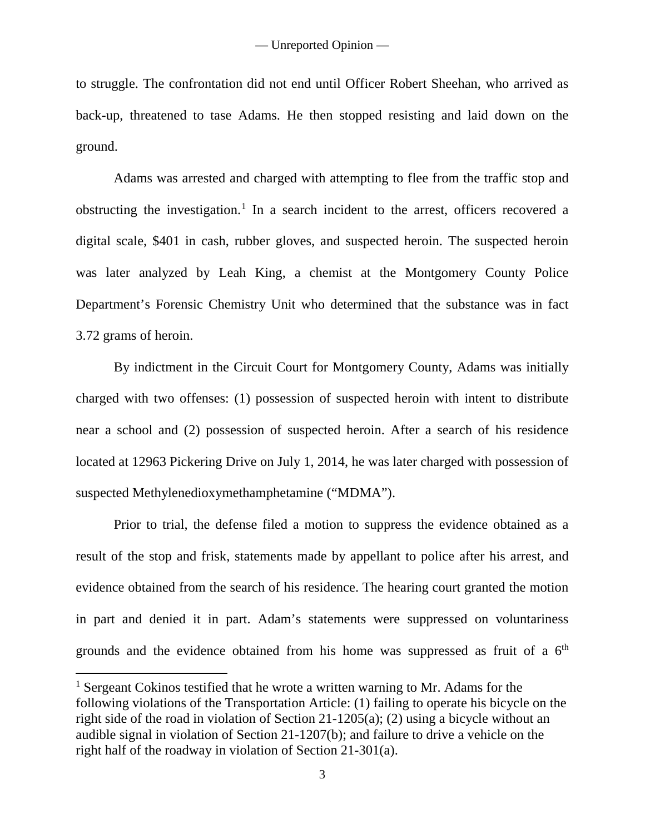to struggle. The confrontation did not end until Officer Robert Sheehan, who arrived as back-up, threatened to tase Adams. He then stopped resisting and laid down on the ground.

Adams was arrested and charged with attempting to flee from the traffic stop and obstructing the investigation.<sup>[1](#page-3-0)</sup> In a search incident to the arrest, officers recovered a digital scale, \$401 in cash, rubber gloves, and suspected heroin. The suspected heroin was later analyzed by Leah King, a chemist at the Montgomery County Police Department's Forensic Chemistry Unit who determined that the substance was in fact 3.72 grams of heroin.

By indictment in the Circuit Court for Montgomery County, Adams was initially charged with two offenses: (1) possession of suspected heroin with intent to distribute near a school and (2) possession of suspected heroin. After a search of his residence located at 12963 Pickering Drive on July 1, 2014, he was later charged with possession of suspected Methylenedioxymethamphetamine ("MDMA").

Prior to trial, the defense filed a motion to suppress the evidence obtained as a result of the stop and frisk, statements made by appellant to police after his arrest, and evidence obtained from the search of his residence. The hearing court granted the motion in part and denied it in part. Adam's statements were suppressed on voluntariness grounds and the evidence obtained from his home was suppressed as fruit of a  $6<sup>th</sup>$ 

 $\overline{a}$ 

<span id="page-3-0"></span><sup>&</sup>lt;sup>1</sup> Sergeant Cokinos testified that he wrote a written warning to Mr. Adams for the following violations of the Transportation Article: (1) failing to operate his bicycle on the right side of the road in violation of Section 21-1205(a); (2) using a bicycle without an audible signal in violation of Section 21-1207(b); and failure to drive a vehicle on the right half of the roadway in violation of Section 21-301(a).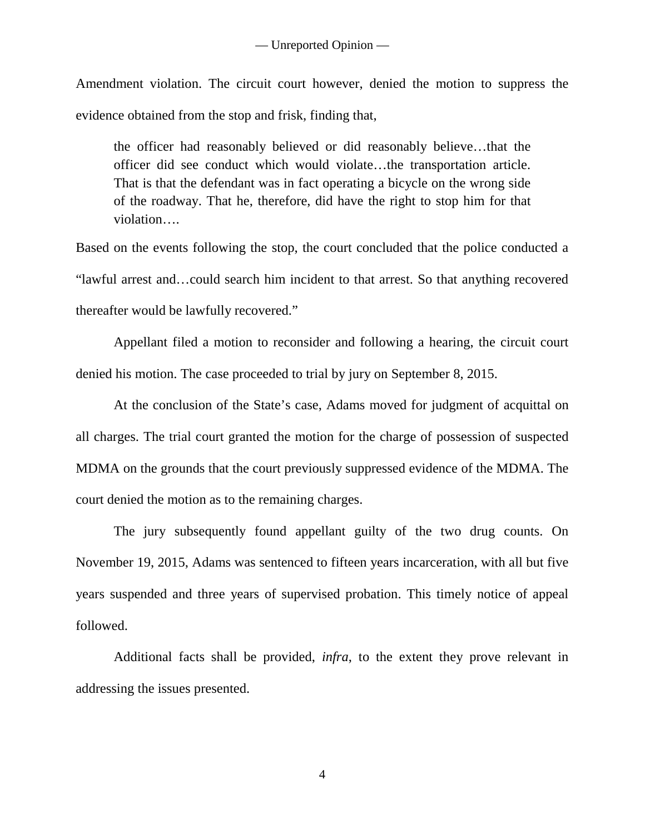Amendment violation. The circuit court however, denied the motion to suppress the evidence obtained from the stop and frisk, finding that,

the officer had reasonably believed or did reasonably believe…that the officer did see conduct which would violate…the transportation article. That is that the defendant was in fact operating a bicycle on the wrong side of the roadway. That he, therefore, did have the right to stop him for that violation….

Based on the events following the stop, the court concluded that the police conducted a "lawful arrest and…could search him incident to that arrest. So that anything recovered thereafter would be lawfully recovered."

Appellant filed a motion to reconsider and following a hearing, the circuit court denied his motion. The case proceeded to trial by jury on September 8, 2015.

At the conclusion of the State's case, Adams moved for judgment of acquittal on all charges. The trial court granted the motion for the charge of possession of suspected MDMA on the grounds that the court previously suppressed evidence of the MDMA. The court denied the motion as to the remaining charges.

The jury subsequently found appellant guilty of the two drug counts. On November 19, 2015, Adams was sentenced to fifteen years incarceration, with all but five years suspended and three years of supervised probation. This timely notice of appeal followed.

Additional facts shall be provided, *infra*, to the extent they prove relevant in addressing the issues presented.

4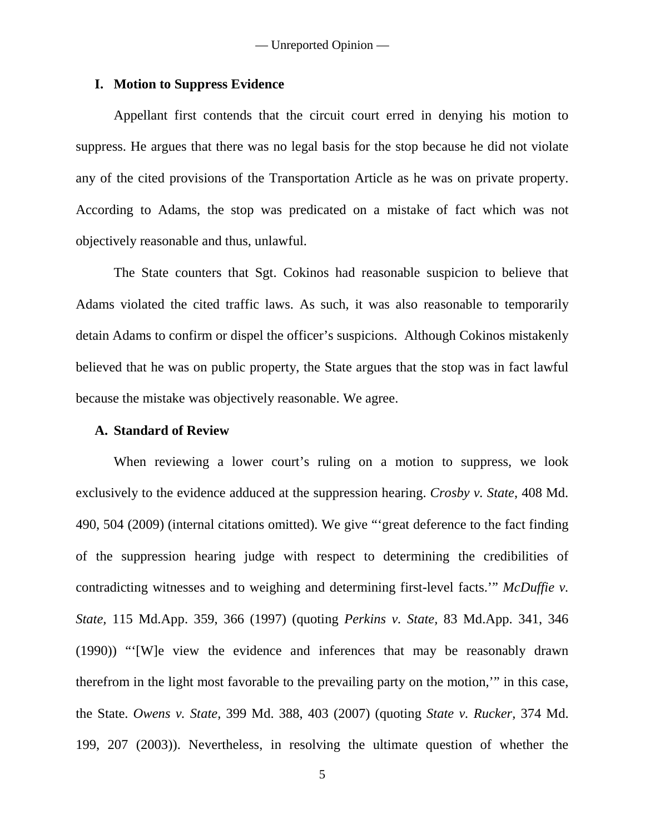#### **I. Motion to Suppress Evidence**

Appellant first contends that the circuit court erred in denying his motion to suppress. He argues that there was no legal basis for the stop because he did not violate any of the cited provisions of the Transportation Article as he was on private property. According to Adams, the stop was predicated on a mistake of fact which was not objectively reasonable and thus, unlawful.

The State counters that Sgt. Cokinos had reasonable suspicion to believe that Adams violated the cited traffic laws. As such, it was also reasonable to temporarily detain Adams to confirm or dispel the officer's suspicions. Although Cokinos mistakenly believed that he was on public property, the State argues that the stop was in fact lawful because the mistake was objectively reasonable. We agree.

### **A. Standard of Review**

When reviewing a lower court's ruling on a motion to suppress, we look exclusively to the evidence adduced at the suppression hearing. *Crosby v. State*, 408 Md. 490, 504 (2009) (internal citations omitted). We give "'great deference to the fact finding of the suppression hearing judge with respect to determining the credibilities of contradicting witnesses and to weighing and determining first-level facts.'" *McDuffie v. State,* 115 Md.App. 359, 366 (1997) (quoting *Perkins v. State,* 83 Md.App. 341, 346 (1990)) "'[W]e view the evidence and inferences that may be reasonably drawn therefrom in the light most favorable to the prevailing party on the motion,'" in this case, the State. *Owens v. State,* 399 Md. 388, 403 (2007) (quoting *State v. Rucker,* 374 Md. 199, 207 (2003)). Nevertheless, in resolving the ultimate question of whether the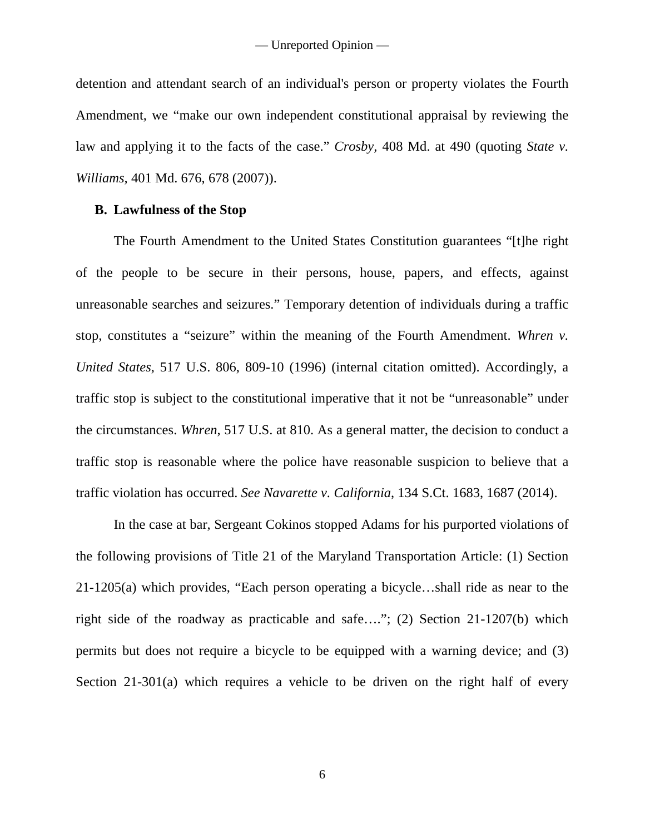detention and attendant search of an individual's person or property violates the Fourth Amendment, we "make our own independent constitutional appraisal by reviewing the law and applying it to the facts of the case." *Crosby,* 408 Md. at 490 (quoting *State v. Williams,* 401 Md. 676, 678 (2007)).

### **B. Lawfulness of the Stop**

The Fourth Amendment to the United States Constitution guarantees "[t]he right of the people to be secure in their persons, house, papers, and effects, against unreasonable searches and seizures." Temporary detention of individuals during a traffic stop, constitutes a "seizure" within the meaning of the Fourth Amendment. *Whren v. United States*, 517 U.S. 806, 809-10 (1996) (internal citation omitted). Accordingly, a traffic stop is subject to the constitutional imperative that it not be "unreasonable" under the circumstances. *Whren*, 517 U.S. at 810. As a general matter, the decision to conduct a traffic stop is reasonable where the police have reasonable suspicion to believe that a traffic violation has occurred. *See Navarette v. California*, 134 S.Ct. 1683, 1687 (2014).

In the case at bar, Sergeant Cokinos stopped Adams for his purported violations of the following provisions of Title 21 of the Maryland Transportation Article: (1) Section 21-1205(a) which provides, "Each person operating a bicycle…shall ride as near to the right side of the roadway as practicable and safe…."; (2) Section 21-1207(b) which permits but does not require a bicycle to be equipped with a warning device; and (3) Section 21-301(a) which requires a vehicle to be driven on the right half of every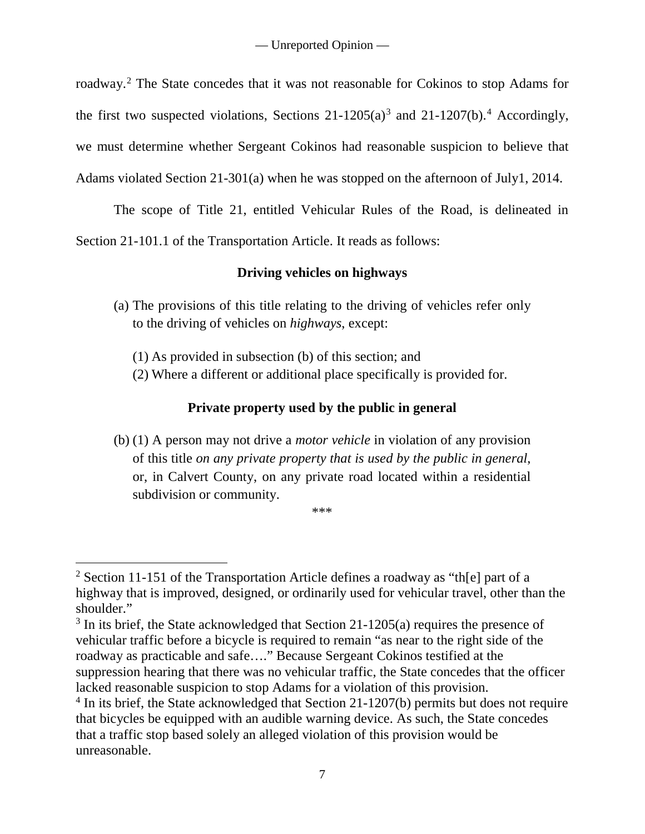roadway.[2](#page-7-0) The State concedes that it was not reasonable for Cokinos to stop Adams for the first two suspected violations, Sections  $21-1205(a)^3$  $21-1205(a)^3$  and  $21-1207(b)$ .<sup>[4](#page-7-2)</sup> Accordingly, we must determine whether Sergeant Cokinos had reasonable suspicion to believe that Adams violated Section 21-301(a) when he was stopped on the afternoon of July1, 2014.

The scope of Title 21, entitled Vehicular Rules of the Road, is delineated in

Section 21-101.1 of the Transportation Article. It reads as follows:

# **Driving vehicles on highways**

- (a) The provisions of this title relating to the driving of vehicles refer only to the driving of vehicles on *highways*, except:
	- (1) As provided in subsection (b) of this section; and

 $\overline{a}$ 

(2) Where a different or additional place specifically is provided for.

## **Private property used by the public in general**

(b) (1) A person may not drive a *motor vehicle* in violation of any provision of this title *on any private property that is used by the public in general*, or, in Calvert County, on any private road located within a residential subdivision or community.

\*\*\*

<span id="page-7-0"></span><sup>&</sup>lt;sup>2</sup> Section 11-151 of the Transportation Article defines a roadway as "the part of a highway that is improved, designed, or ordinarily used for vehicular travel, other than the shoulder."

<span id="page-7-1"></span> $3$  In its brief, the State acknowledged that Section 21-1205(a) requires the presence of vehicular traffic before a bicycle is required to remain "as near to the right side of the roadway as practicable and safe…." Because Sergeant Cokinos testified at the suppression hearing that there was no vehicular traffic, the State concedes that the officer lacked reasonable suspicion to stop Adams for a violation of this provision.

<span id="page-7-2"></span><sup>&</sup>lt;sup>4</sup> In its brief, the State acknowledged that Section 21-1207(b) permits but does not require that bicycles be equipped with an audible warning device. As such, the State concedes that a traffic stop based solely an alleged violation of this provision would be unreasonable.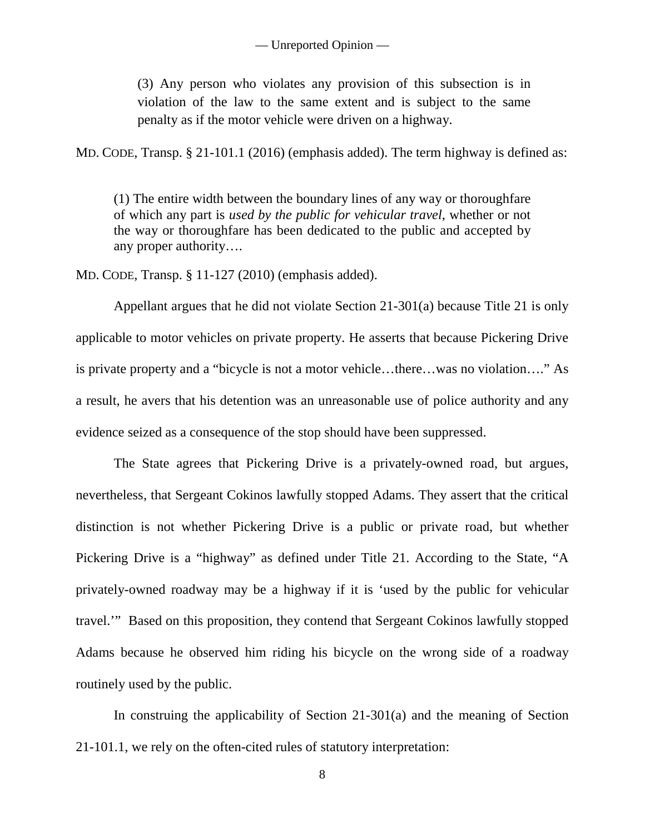(3) Any person who violates any provision of this subsection is in violation of the law to the same extent and is subject to the same penalty as if the motor vehicle were driven on a highway.

MD. CODE, Transp. § 21-101.1 (2016) (emphasis added). The term highway is defined as:

(1) The entire width between the boundary lines of any way or thoroughfare of which any part is *used by the public for vehicular travel*, whether or not the way or thoroughfare has been dedicated to the public and accepted by any proper authority….

MD. CODE, Transp. § 11-127 (2010) (emphasis added).

Appellant argues that he did not violate Section 21-301(a) because Title 21 is only applicable to motor vehicles on private property. He asserts that because Pickering Drive is private property and a "bicycle is not a motor vehicle…there…was no violation…." As a result, he avers that his detention was an unreasonable use of police authority and any evidence seized as a consequence of the stop should have been suppressed.

The State agrees that Pickering Drive is a privately-owned road, but argues, nevertheless, that Sergeant Cokinos lawfully stopped Adams. They assert that the critical distinction is not whether Pickering Drive is a public or private road, but whether Pickering Drive is a "highway" as defined under Title 21. According to the State, "A privately-owned roadway may be a highway if it is 'used by the public for vehicular travel.'" Based on this proposition, they contend that Sergeant Cokinos lawfully stopped Adams because he observed him riding his bicycle on the wrong side of a roadway routinely used by the public.

In construing the applicability of Section 21-301(a) and the meaning of Section 21-101.1, we rely on the often-cited rules of statutory interpretation: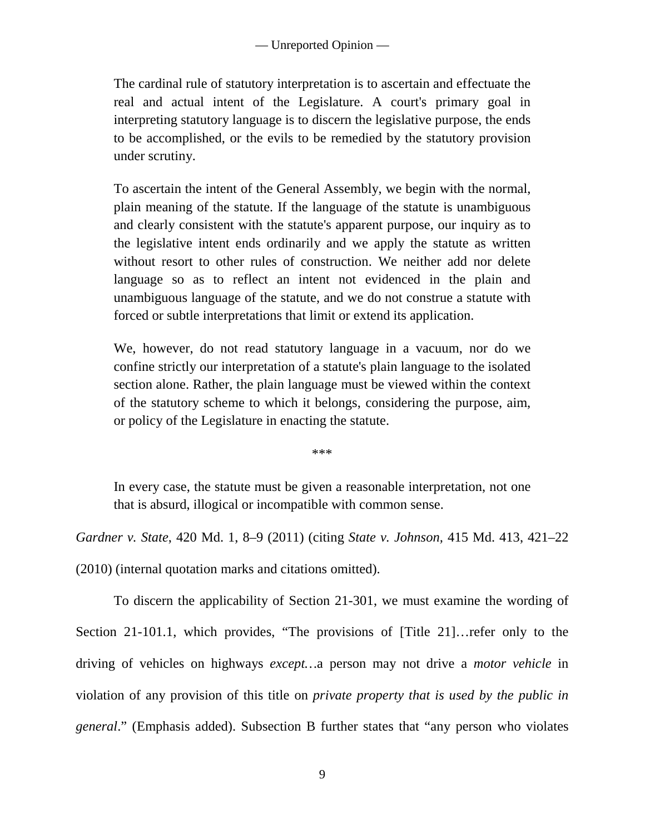The cardinal rule of statutory interpretation is to ascertain and effectuate the real and actual intent of the Legislature. A court's primary goal in interpreting statutory language is to discern the legislative purpose, the ends to be accomplished, or the evils to be remedied by the statutory provision under scrutiny.

To ascertain the intent of the General Assembly, we begin with the normal, plain meaning of the statute. If the language of the statute is unambiguous and clearly consistent with the statute's apparent purpose, our inquiry as to the legislative intent ends ordinarily and we apply the statute as written without resort to other rules of construction. We neither add nor delete language so as to reflect an intent not evidenced in the plain and unambiguous language of the statute, and we do not construe a statute with forced or subtle interpretations that limit or extend its application.

We, however, do not read statutory language in a vacuum, nor do we confine strictly our interpretation of a statute's plain language to the isolated section alone. Rather, the plain language must be viewed within the context of the statutory scheme to which it belongs, considering the purpose, aim, or policy of the Legislature in enacting the statute.

\*\*\*

In every case, the statute must be given a reasonable interpretation, not one that is absurd, illogical or incompatible with common sense.

*Gardner v. State*, 420 Md. 1, 8–9 (2011) (citing *State v. Johnson,* 415 Md. 413, 421–22

(2010) (internal quotation marks and citations omitted).

To discern the applicability of Section 21-301, we must examine the wording of Section 21-101.1, which provides, "The provisions of [Title 21]…refer only to the driving of vehicles on highways *except…*a person may not drive a *motor vehicle* in violation of any provision of this title on *private property that is used by the public in general*." (Emphasis added). Subsection B further states that "any person who violates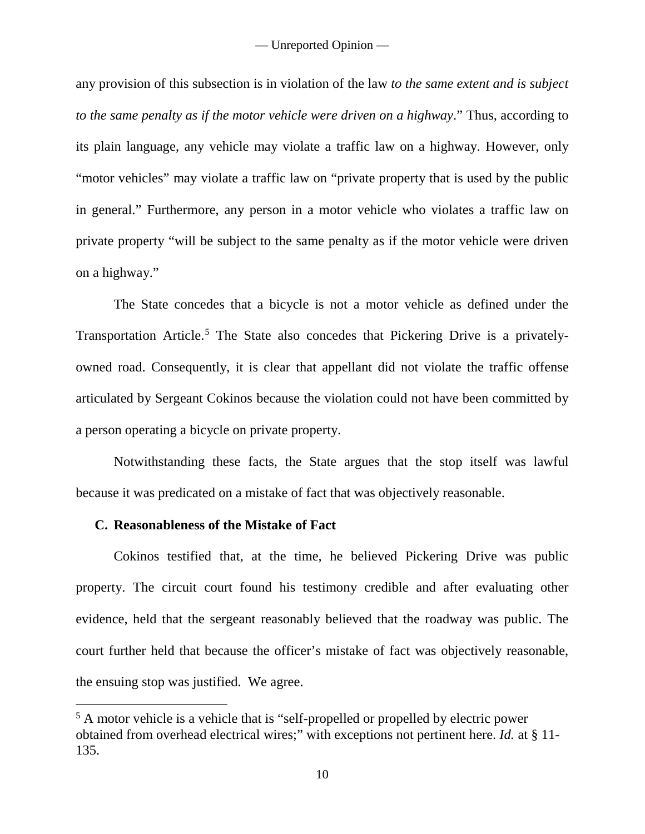any provision of this subsection is in violation of the law *to the same extent and is subject to the same penalty as if the motor vehicle were driven on a highway*." Thus, according to its plain language, any vehicle may violate a traffic law on a highway. However, only "motor vehicles" may violate a traffic law on "private property that is used by the public in general." Furthermore, any person in a motor vehicle who violates a traffic law on private property "will be subject to the same penalty as if the motor vehicle were driven on a highway."

The State concedes that a bicycle is not a motor vehicle as defined under the Transportation Article. [5](#page-10-0) The State also concedes that Pickering Drive is a privatelyowned road. Consequently, it is clear that appellant did not violate the traffic offense articulated by Sergeant Cokinos because the violation could not have been committed by a person operating a bicycle on private property.

Notwithstanding these facts, the State argues that the stop itself was lawful because it was predicated on a mistake of fact that was objectively reasonable.

#### **C. Reasonableness of the Mistake of Fact**

 $\overline{a}$ 

Cokinos testified that, at the time, he believed Pickering Drive was public property. The circuit court found his testimony credible and after evaluating other evidence, held that the sergeant reasonably believed that the roadway was public. The court further held that because the officer's mistake of fact was objectively reasonable, the ensuing stop was justified. We agree.

<span id="page-10-0"></span><sup>&</sup>lt;sup>5</sup> A motor vehicle is a vehicle that is "self-propelled or propelled by electric power obtained from overhead electrical wires;" with exceptions not pertinent here. *Id.* at § 11- 135.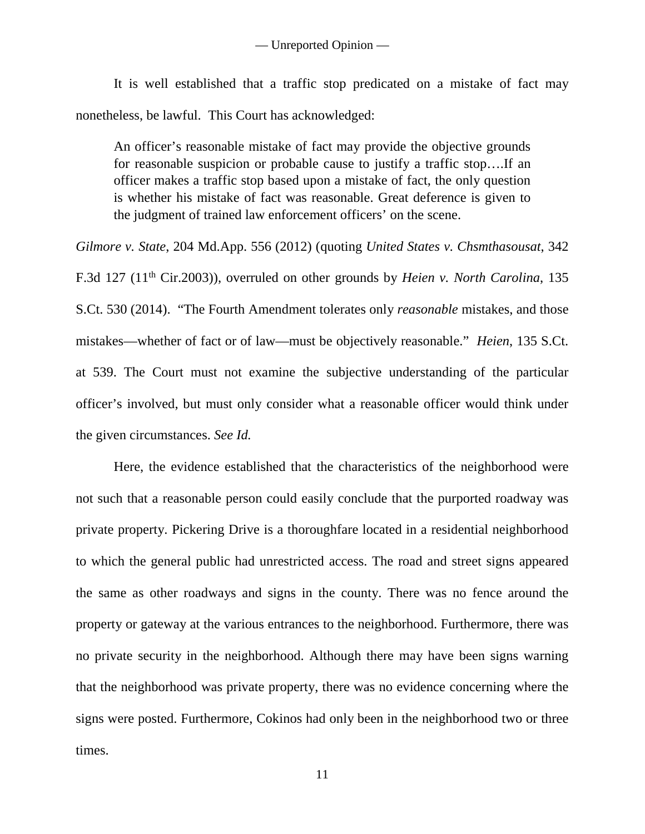It is well established that a traffic stop predicated on a mistake of fact may nonetheless, be lawful. This Court has acknowledged:

An officer's reasonable mistake of fact may provide the objective grounds for reasonable suspicion or probable cause to justify a traffic stop….If an officer makes a traffic stop based upon a mistake of fact, the only question is whether his mistake of fact was reasonable. Great deference is given to the judgment of trained law enforcement officers' on the scene.

*Gilmore v. State*, 204 Md.App. 556 (2012) (quoting *United States v. Chsmthasousat*, 342 F.3d 127 (11th Cir.2003)), overruled on other grounds by *Heien v. North Carolina*, 135 S.Ct. 530 (2014). "The Fourth Amendment tolerates only *reasonable* mistakes, and those mistakes—whether of fact or of law—must be objectively reasonable." *Heien*, 135 S.Ct. at 539. The Court must not examine the subjective understanding of the particular officer's involved, but must only consider what a reasonable officer would think under the given circumstances. *See Id.*

Here, the evidence established that the characteristics of the neighborhood were not such that a reasonable person could easily conclude that the purported roadway was private property. Pickering Drive is a thoroughfare located in a residential neighborhood to which the general public had unrestricted access. The road and street signs appeared the same as other roadways and signs in the county. There was no fence around the property or gateway at the various entrances to the neighborhood. Furthermore, there was no private security in the neighborhood. Although there may have been signs warning that the neighborhood was private property, there was no evidence concerning where the signs were posted. Furthermore, Cokinos had only been in the neighborhood two or three times.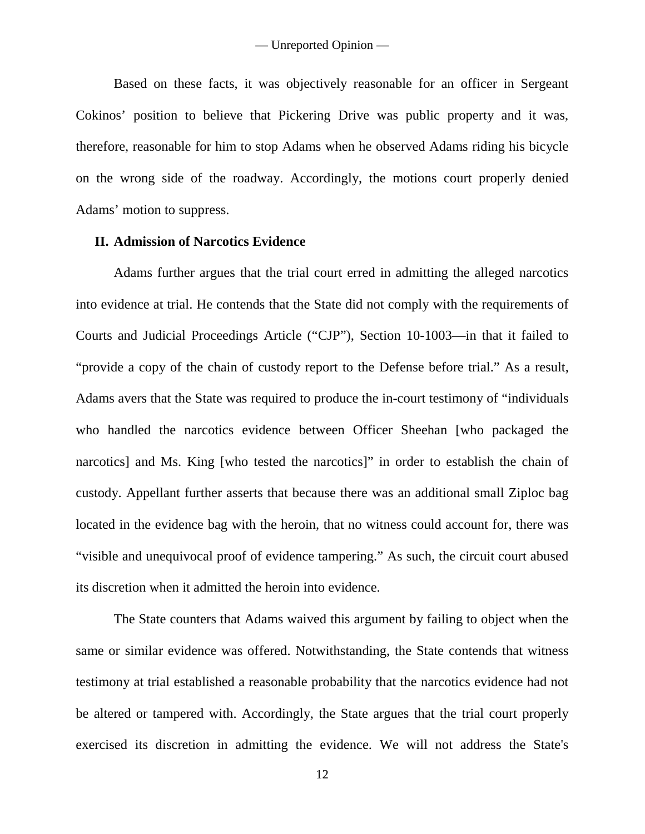Based on these facts, it was objectively reasonable for an officer in Sergeant Cokinos' position to believe that Pickering Drive was public property and it was, therefore, reasonable for him to stop Adams when he observed Adams riding his bicycle on the wrong side of the roadway. Accordingly, the motions court properly denied Adams' motion to suppress.

# **II. Admission of Narcotics Evidence**

Adams further argues that the trial court erred in admitting the alleged narcotics into evidence at trial. He contends that the State did not comply with the requirements of Courts and Judicial Proceedings Article ("CJP"), Section 10-1003—in that it failed to "provide a copy of the chain of custody report to the Defense before trial." As a result, Adams avers that the State was required to produce the in-court testimony of "individuals who handled the narcotics evidence between Officer Sheehan [who packaged the narcotics] and Ms. King [who tested the narcotics]" in order to establish the chain of custody. Appellant further asserts that because there was an additional small Ziploc bag located in the evidence bag with the heroin, that no witness could account for, there was "visible and unequivocal proof of evidence tampering." As such, the circuit court abused its discretion when it admitted the heroin into evidence.

The State counters that Adams waived this argument by failing to object when the same or similar evidence was offered. Notwithstanding, the State contends that witness testimony at trial established a reasonable probability that the narcotics evidence had not be altered or tampered with. Accordingly, the State argues that the trial court properly exercised its discretion in admitting the evidence. We will not address the State's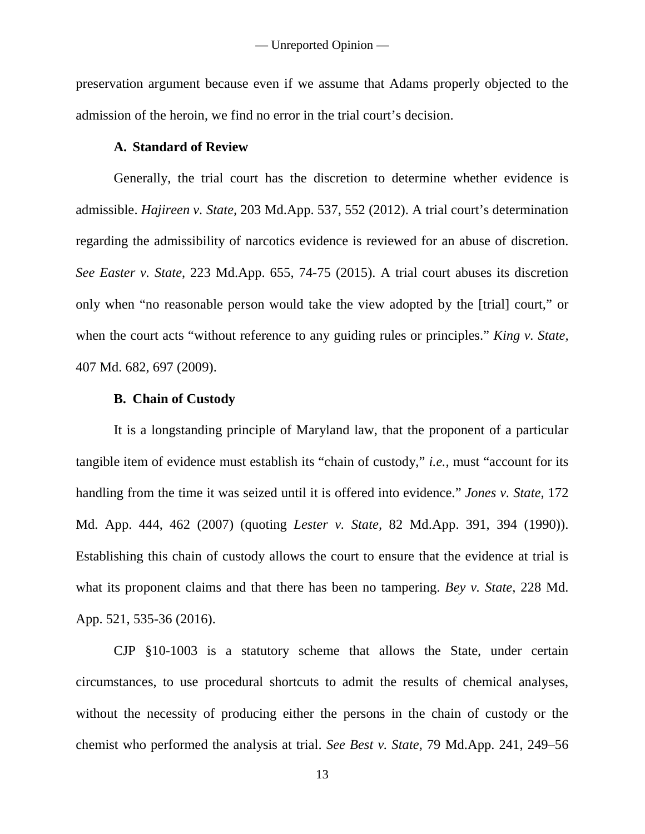preservation argument because even if we assume that Adams properly objected to the admission of the heroin, we find no error in the trial court's decision.

### **A. Standard of Review**

Generally, the trial court has the discretion to determine whether evidence is admissible. *Hajireen v. State,* 203 Md.App. 537, 552 (2012). A trial court's determination regarding the admissibility of narcotics evidence is reviewed for an abuse of discretion. *See Easter v. State*, 223 Md.App. 655, 74-75 (2015). A trial court abuses its discretion only when "no reasonable person would take the view adopted by the [trial] court," or when the court acts "without reference to any guiding rules or principles." *King v. State,* 407 Md. 682, 697 (2009).

#### **B. Chain of Custody**

It is a longstanding principle of Maryland law, that the proponent of a particular tangible item of evidence must establish its "chain of custody," *i.e.,* must "account for its handling from the time it was seized until it is offered into evidence." *Jones v. State*, 172 Md. App. 444, 462 (2007) (quoting *Lester v. State,* 82 Md.App. 391, 394 (1990)). Establishing this chain of custody allows the court to ensure that the evidence at trial is what its proponent claims and that there has been no tampering. *Bey v. State*, 228 Md. App. 521, 535-36 (2016).

CJP §10-1003 is a statutory scheme that allows the State, under certain circumstances, to use procedural shortcuts to admit the results of chemical analyses, without the necessity of producing either the persons in the chain of custody or the chemist who performed the analysis at trial. *See Best v. State,* 79 Md.App. 241, 249–56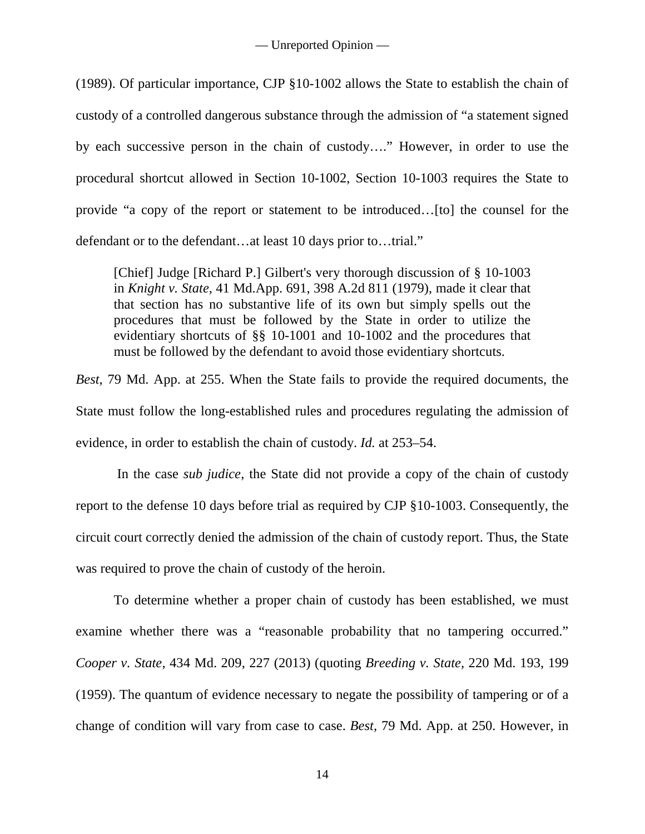(1989). Of particular importance, CJP §10-1002 allows the State to establish the chain of custody of a controlled dangerous substance through the admission of "a statement signed by each successive person in the chain of custody…." However, in order to use the procedural shortcut allowed in Section 10-1002, Section 10-1003 requires the State to provide "a copy of the report or statement to be introduced…[to] the counsel for the defendant or to the defendant…at least 10 days prior to…trial."

[Chief] Judge [Richard P.] Gilbert's very thorough discussion of § 10-1003 in *Knight v. State,* 41 Md.App. 691, 398 A.2d 811 (1979), made it clear that that section has no substantive life of its own but simply spells out the procedures that must be followed by the State in order to utilize the evidentiary shortcuts of §§ 10-1001 and 10-1002 and the procedures that must be followed by the defendant to avoid those evidentiary shortcuts.

*Best*, 79 Md. App. at 255. When the State fails to provide the required documents, the State must follow the long-established rules and procedures regulating the admission of evidence, in order to establish the chain of custody. *Id.* at 253–54.

In the case *sub judice*, the State did not provide a copy of the chain of custody report to the defense 10 days before trial as required by CJP §10-1003. Consequently, the circuit court correctly denied the admission of the chain of custody report. Thus, the State was required to prove the chain of custody of the heroin.

To determine whether a proper chain of custody has been established, we must examine whether there was a "reasonable probability that no tampering occurred." *Cooper v. State,* 434 Md. 209, 227 (2013) (quoting *Breeding v. State,* 220 Md. 193, 199 (1959). The quantum of evidence necessary to negate the possibility of tampering or of a change of condition will vary from case to case. *Best,* 79 Md. App. at 250. However, in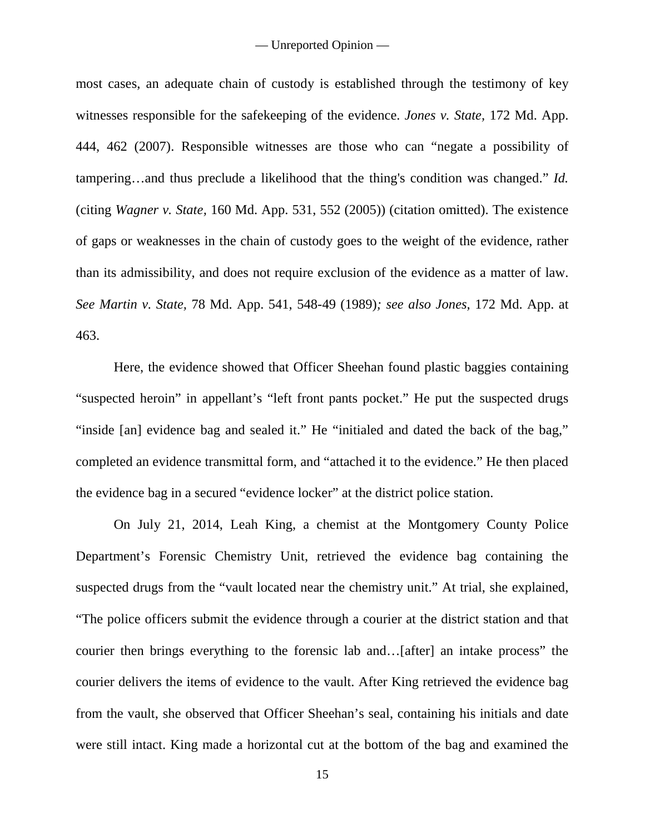most cases, an adequate chain of custody is established through the testimony of key witnesses responsible for the safekeeping of the evidence. *Jones v. State,* 172 Md. App. 444, 462 (2007). Responsible witnesses are those who can "negate a possibility of tampering…and thus preclude a likelihood that the thing's condition was changed." *Id.* (citing *Wagner v. State,* 160 Md. App. 531, 552 (2005)) (citation omitted). The existence of gaps or weaknesses in the chain of custody goes to the weight of the evidence, rather than its admissibility, and does not require exclusion of the evidence as a matter of law. *See Martin v. State,* 78 Md. App. 541, 548-49 (1989)*; see also Jones,* 172 Md. App. at 463.

Here, the evidence showed that Officer Sheehan found plastic baggies containing "suspected heroin" in appellant's "left front pants pocket." He put the suspected drugs "inside [an] evidence bag and sealed it." He "initialed and dated the back of the bag," completed an evidence transmittal form, and "attached it to the evidence." He then placed the evidence bag in a secured "evidence locker" at the district police station.

On July 21, 2014, Leah King, a chemist at the Montgomery County Police Department's Forensic Chemistry Unit, retrieved the evidence bag containing the suspected drugs from the "vault located near the chemistry unit." At trial, she explained, "The police officers submit the evidence through a courier at the district station and that courier then brings everything to the forensic lab and…[after] an intake process" the courier delivers the items of evidence to the vault. After King retrieved the evidence bag from the vault, she observed that Officer Sheehan's seal, containing his initials and date were still intact. King made a horizontal cut at the bottom of the bag and examined the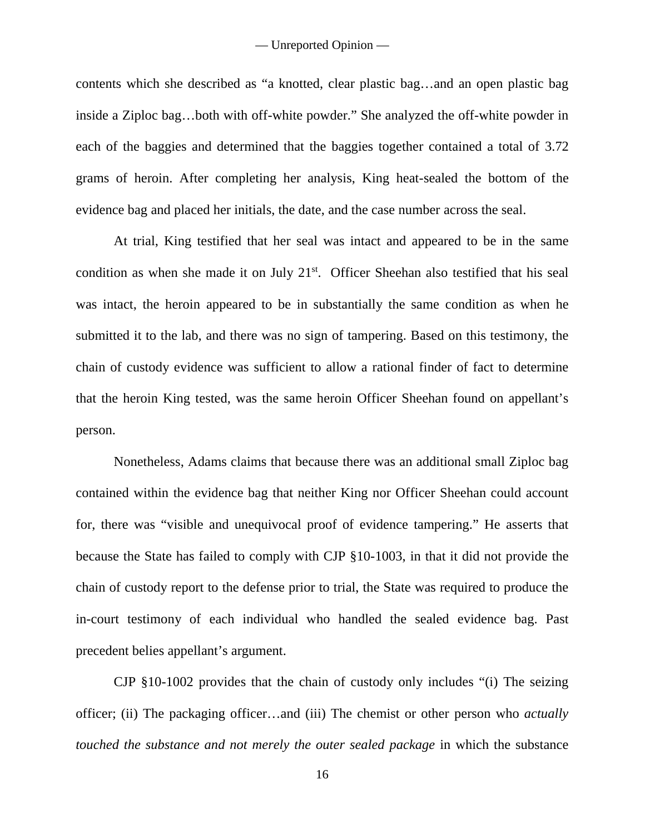contents which she described as "a knotted, clear plastic bag…and an open plastic bag inside a Ziploc bag…both with off-white powder." She analyzed the off-white powder in each of the baggies and determined that the baggies together contained a total of 3.72 grams of heroin. After completing her analysis, King heat-sealed the bottom of the evidence bag and placed her initials, the date, and the case number across the seal.

At trial, King testified that her seal was intact and appeared to be in the same condition as when she made it on July 21<sup>st</sup>. Officer Sheehan also testified that his seal was intact, the heroin appeared to be in substantially the same condition as when he submitted it to the lab, and there was no sign of tampering. Based on this testimony, the chain of custody evidence was sufficient to allow a rational finder of fact to determine that the heroin King tested, was the same heroin Officer Sheehan found on appellant's person.

Nonetheless, Adams claims that because there was an additional small Ziploc bag contained within the evidence bag that neither King nor Officer Sheehan could account for, there was "visible and unequivocal proof of evidence tampering." He asserts that because the State has failed to comply with CJP §10-1003, in that it did not provide the chain of custody report to the defense prior to trial, the State was required to produce the in-court testimony of each individual who handled the sealed evidence bag. Past precedent belies appellant's argument.

CJP §10-1002 provides that the chain of custody only includes "(i) The seizing officer; (ii) The packaging officer…and (iii) The chemist or other person who *actually touched the substance and not merely the outer sealed package* in which the substance

16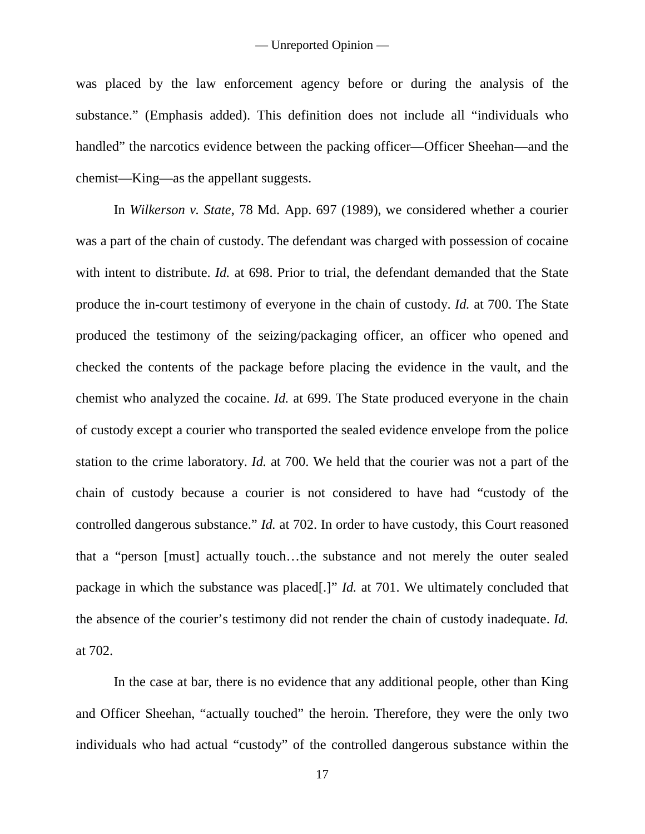was placed by the law enforcement agency before or during the analysis of the substance." (Emphasis added). This definition does not include all "individuals who handled" the narcotics evidence between the packing officer—Officer Sheehan—and the chemist—King—as the appellant suggests.

In *Wilkerson v. State*, 78 Md. App. 697 (1989), we considered whether a courier was a part of the chain of custody. The defendant was charged with possession of cocaine with intent to distribute. *Id.* at 698. Prior to trial, the defendant demanded that the State produce the in-court testimony of everyone in the chain of custody. *Id.* at 700. The State produced the testimony of the seizing/packaging officer, an officer who opened and checked the contents of the package before placing the evidence in the vault, and the chemist who analyzed the cocaine. *Id.* at 699. The State produced everyone in the chain of custody except a courier who transported the sealed evidence envelope from the police station to the crime laboratory. *Id.* at 700. We held that the courier was not a part of the chain of custody because a courier is not considered to have had "custody of the controlled dangerous substance." *Id.* at 702. In order to have custody, this Court reasoned that a "person [must] actually touch…the substance and not merely the outer sealed package in which the substance was placed[.]" *Id.* at 701. We ultimately concluded that the absence of the courier's testimony did not render the chain of custody inadequate. *Id.* at 702.

In the case at bar, there is no evidence that any additional people, other than King and Officer Sheehan, "actually touched" the heroin. Therefore, they were the only two individuals who had actual "custody" of the controlled dangerous substance within the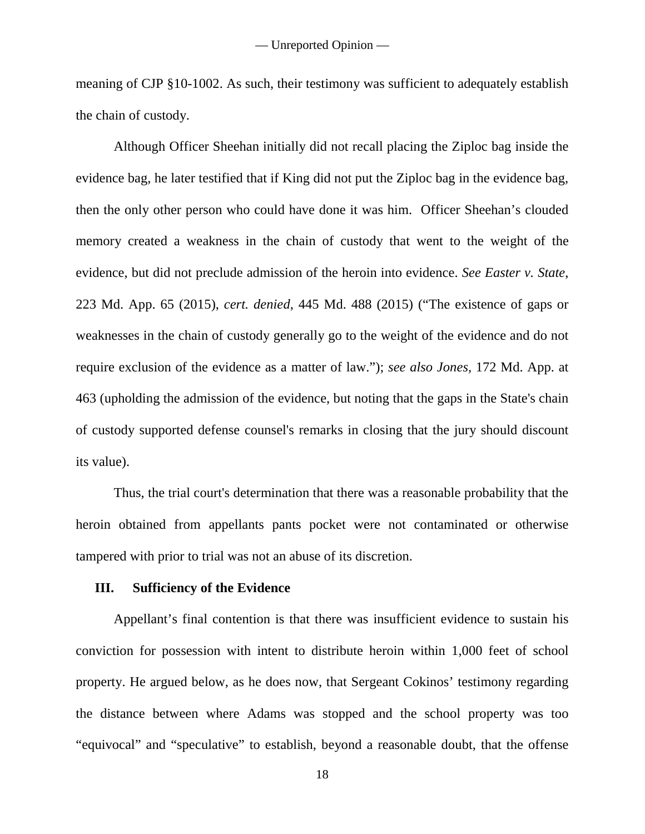meaning of CJP §10-1002. As such, their testimony was sufficient to adequately establish the chain of custody.

Although Officer Sheehan initially did not recall placing the Ziploc bag inside the evidence bag, he later testified that if King did not put the Ziploc bag in the evidence bag, then the only other person who could have done it was him. Officer Sheehan's clouded memory created a weakness in the chain of custody that went to the weight of the evidence, but did not preclude admission of the heroin into evidence. *See Easter v. State*, 223 Md. App. 65 (2015), *cert. denied*, 445 Md. 488 (2015) ("The existence of gaps or weaknesses in the chain of custody generally go to the weight of the evidence and do not require exclusion of the evidence as a matter of law."); *see also Jones,* 172 Md. App. at 463 (upholding the admission of the evidence, but noting that the gaps in the State's chain of custody supported defense counsel's remarks in closing that the jury should discount its value).

Thus, the trial court's determination that there was a reasonable probability that the heroin obtained from appellants pants pocket were not contaminated or otherwise tampered with prior to trial was not an abuse of its discretion.

### **III. Sufficiency of the Evidence**

Appellant's final contention is that there was insufficient evidence to sustain his conviction for possession with intent to distribute heroin within 1,000 feet of school property. He argued below, as he does now, that Sergeant Cokinos' testimony regarding the distance between where Adams was stopped and the school property was too "equivocal" and "speculative" to establish, beyond a reasonable doubt, that the offense

18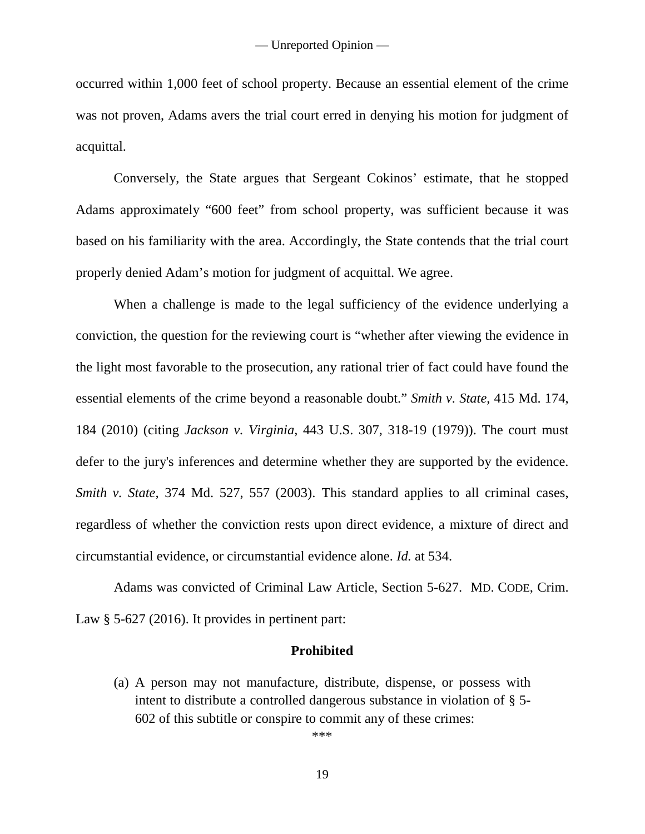occurred within 1,000 feet of school property. Because an essential element of the crime was not proven, Adams avers the trial court erred in denying his motion for judgment of acquittal.

Conversely, the State argues that Sergeant Cokinos' estimate, that he stopped Adams approximately "600 feet" from school property, was sufficient because it was based on his familiarity with the area. Accordingly, the State contends that the trial court properly denied Adam's motion for judgment of acquittal. We agree.

When a challenge is made to the legal sufficiency of the evidence underlying a conviction, the question for the reviewing court is "whether after viewing the evidence in the light most favorable to the prosecution, any rational trier of fact could have found the essential elements of the crime beyond a reasonable doubt." *Smith v. State*, 415 Md. 174, 184 (2010) (citing *Jackson v. Virginia*, 443 U.S. 307, 318-19 (1979)). The court must defer to the jury's inferences and determine whether they are supported by the evidence. *Smith v. State,* 374 Md. 527, 557 (2003). This standard applies to all criminal cases, regardless of whether the conviction rests upon direct evidence, a mixture of direct and circumstantial evidence, or circumstantial evidence alone. *Id.* at 534.

Adams was convicted of Criminal Law Article, Section 5-627. MD. CODE, Crim. Law § 5-627 (2016). It provides in pertinent part:

#### **Prohibited**

(a) A person may not manufacture, distribute, dispense, or possess with intent to distribute a controlled dangerous substance in violation of § 5- 602 of this subtitle or conspire to commit any of these crimes:

\*\*\*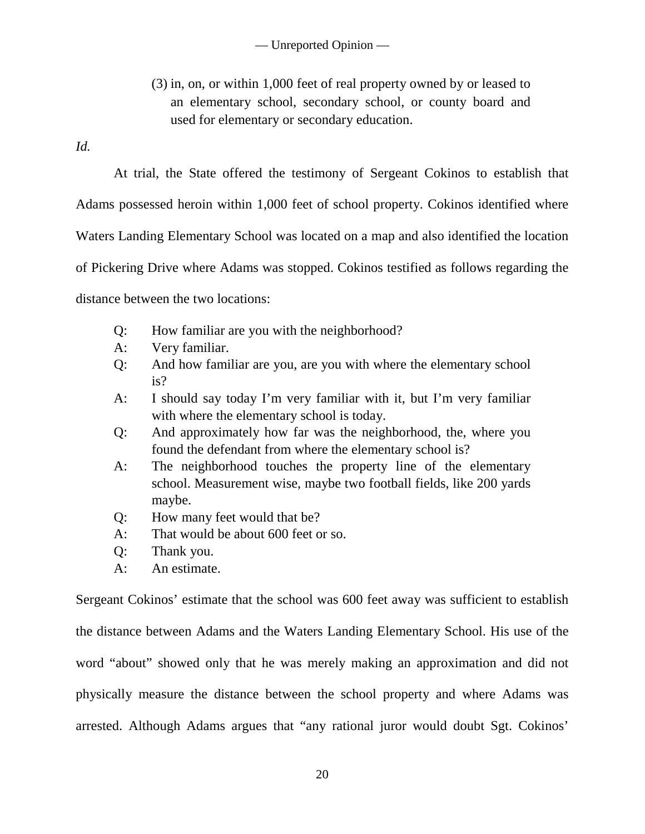(3) in, on, or within 1,000 feet of real property owned by or leased to an elementary school, secondary school, or county board and used for elementary or secondary education.

*Id.*

At trial, the State offered the testimony of Sergeant Cokinos to establish that Adams possessed heroin within 1,000 feet of school property. Cokinos identified where Waters Landing Elementary School was located on a map and also identified the location of Pickering Drive where Adams was stopped. Cokinos testified as follows regarding the distance between the two locations:

- Q: How familiar are you with the neighborhood?
- A: Very familiar.
- Q: And how familiar are you, are you with where the elementary school is?
- A: I should say today I'm very familiar with it, but I'm very familiar with where the elementary school is today.
- Q: And approximately how far was the neighborhood, the, where you found the defendant from where the elementary school is?
- A: The neighborhood touches the property line of the elementary school. Measurement wise, maybe two football fields, like 200 yards maybe.
- Q: How many feet would that be?
- A: That would be about 600 feet or so.
- Q: Thank you.
- A: An estimate.

Sergeant Cokinos' estimate that the school was 600 feet away was sufficient to establish the distance between Adams and the Waters Landing Elementary School. His use of the word "about" showed only that he was merely making an approximation and did not physically measure the distance between the school property and where Adams was arrested. Although Adams argues that "any rational juror would doubt Sgt. Cokinos'